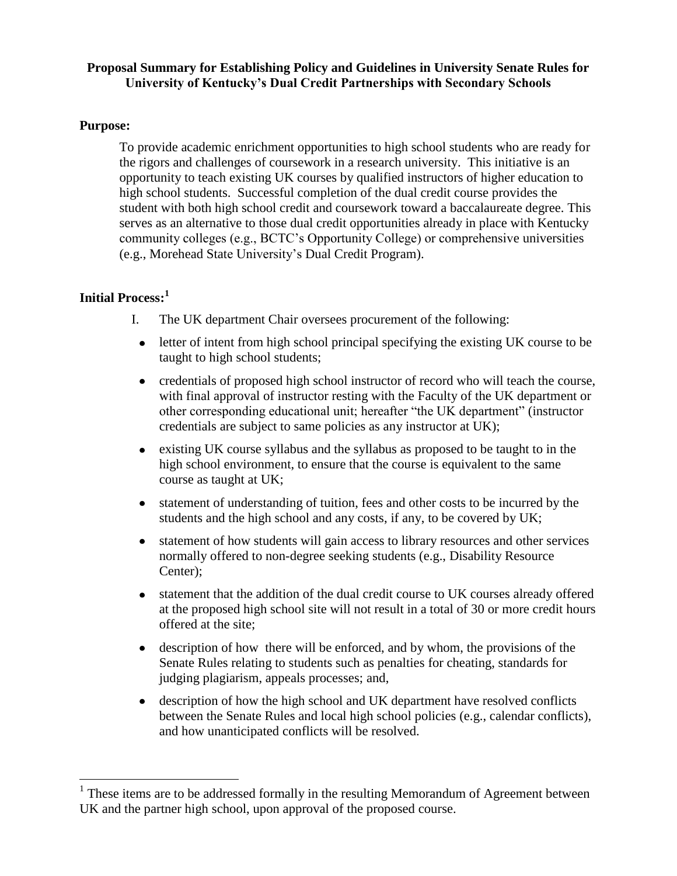## **Proposal Summary for Establishing Policy and Guidelines in University Senate Rules for University of Kentucky's Dual Credit Partnerships with Secondary Schools**

### **Purpose:**

To provide academic enrichment opportunities to high school students who are ready for the rigors and challenges of coursework in a research university. This initiative is an opportunity to teach existing UK courses by qualified instructors of higher education to high school students. Successful completion of the dual credit course provides the student with both high school credit and coursework toward a baccalaureate degree. This serves as an alternative to those dual credit opportunities already in place with Kentucky community colleges (e.g., BCTC's Opportunity College) or comprehensive universities (e.g., Morehead State University's Dual Credit Program).

# **Initial Process:<sup>1</sup>**

 $\overline{a}$ 

- I. The UK department Chair oversees procurement of the following:
	- letter of intent from high school principal specifying the existing UK course to be taught to high school students;
	- credentials of proposed high school instructor of record who will teach the course, with final approval of instructor resting with the Faculty of the UK department or other corresponding educational unit; hereafter "the UK department" (instructor credentials are subject to same policies as any instructor at UK);
	- existing UK course syllabus and the syllabus as proposed to be taught to in the high school environment, to ensure that the course is equivalent to the same course as taught at UK;
	- statement of understanding of tuition, fees and other costs to be incurred by the  $\bullet$ students and the high school and any costs, if any, to be covered by UK;
	- statement of how students will gain access to library resources and other services  $\bullet$ normally offered to non-degree seeking students (e.g., Disability Resource Center);
	- $\bullet$ statement that the addition of the dual credit course to UK courses already offered at the proposed high school site will not result in a total of 30 or more credit hours offered at the site;
	- description of how there will be enforced, and by whom, the provisions of the Senate Rules relating to students such as penalties for cheating, standards for judging plagiarism, appeals processes; and,
- description of how the high school and UK department have resolved conflicts between the Senate Rules and local high school policies (e.g., calendar conflicts), and how unanticipated conflicts will be resolved.

 $<sup>1</sup>$  These items are to be addressed formally in the resulting Memorandum of Agreement between</sup> UK and the partner high school, upon approval of the proposed course.